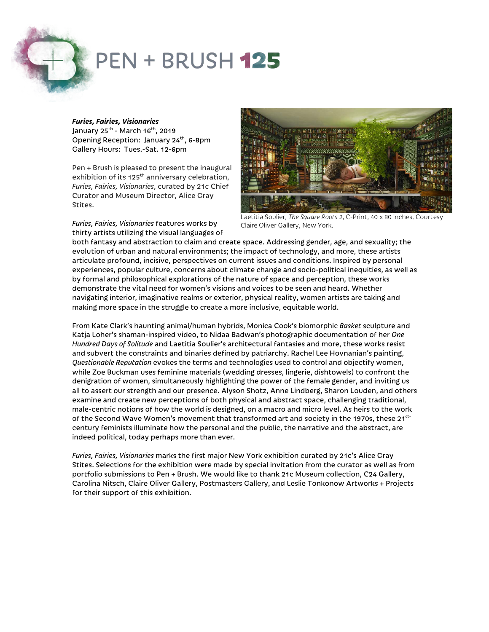# **PEN + BRUSH 125**

## *Furies, Fairies, Visionaries*

January 25<sup>th</sup> - March 16<sup>th</sup>, 2019 Opening Reception: January 24<sup>th</sup>, 6-8pm Gallery Hours: Tues.-Sat. 12-6pm

Pen + Brush is pleased to present the inaugural exhibition of its 125<sup>th</sup> anniversary celebration, *Furies, Fairies, Visionaries*, curated by 21c Chief Curator and Museum Director, Alice Gray Stites.



*Furies, Fairies, Visionaries* features works by thirty artists utilizing the visual languages of

Laetitia Soulier, *The Square Roots 2*, C-Print, 40 x 80 inches, Courtesy Claire Oliver Gallery, New York.

both fantasy and abstraction to claim and create space. Addressing gender, age, and sexuality; the evolution of urban and natural environments; the impact of technology, and more, these artists articulate profound, incisive, perspectives on current issues and conditions. Inspired by personal experiences, popular culture, concerns about climate change and socio-political inequities, as well as by formal and philosophical explorations of the nature of space and perception, these works demonstrate the vital need for women's visions and voices to be seen and heard. Whether navigating interior, imaginative realms or exterior, physical reality, women artists are taking and making more space in the struggle to create a more inclusive, equitable world.

From Kate Clark's haunting animal/human hybrids, Monica Cook's biomorphic *Basket* sculpture and Katja Loher's shaman-inspired video, to Nidaa Badwan's photographic documentation of her *One Hundred Days of Solitude* and Laetitia Soulier's architectural fantasies and more, these works resist and subvert the constraints and binaries defined by patriarchy. Rachel Lee Hovnanian's painting, *Questionable Reputation* evokes the terms and technologies used to control and objectify women, while Zoe Buckman uses feminine materials (wedding dresses, lingerie, dishtowels) to confront the denigration of women, simultaneously highlighting the power of the female gender, and inviting us all to assert our strength and our presence. Alyson Shotz, Anne Lindberg, Sharon Louden, and others examine and create new perceptions of both physical and abstract space, challenging traditional, male-centric notions of how the world is designed, on a macro and micro level. As heirs to the work of the Second Wave Women's movement that transformed art and society in the 1970s, these 21stcentury feminists illuminate how the personal and the public, the narrative and the abstract, are indeed political, today perhaps more than ever.

*Furies, Fairies, Visionaries* marks the first major New York exhibition curated by 21c's Alice Gray Stites. Selections for the exhibition were made by special invitation from the curator as well as from portfolio submissions to Pen + Brush. We would like to thank 21c Museum collection, C24 Gallery, Carolina Nitsch, Claire Oliver Gallery, Postmasters Gallery, and Leslie Tonkonow Artworks + Projects for their support of this exhibition.